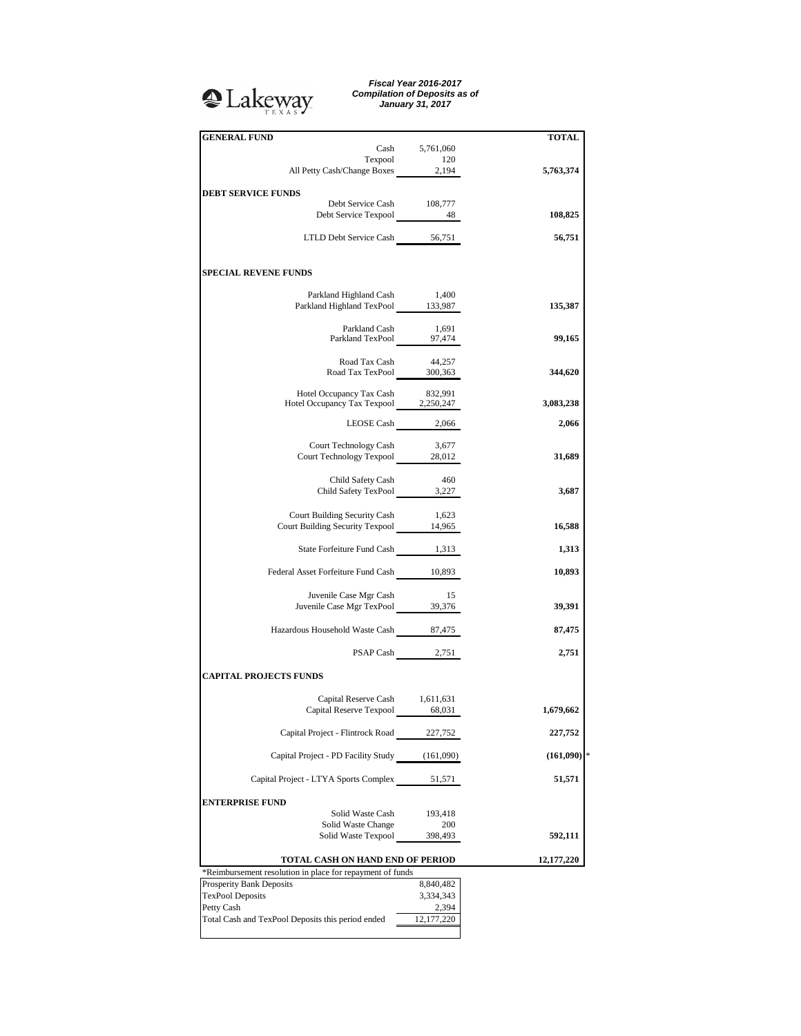## <sup>2</sup>Lakeway

*Fiscal Year 2016-2017 Compilation of Deposits as of January 31, 2017*

| <b>GENERAL FUND</b>                                                       |                  |              |
|---------------------------------------------------------------------------|------------------|--------------|
|                                                                           | Cash 5,761,060   | <b>TOTAL</b> |
|                                                                           |                  |              |
| Texpool 120<br>All Petty Cash/Change Boxes 2,194                          |                  | 5,763,374    |
|                                                                           |                  |              |
| <b>DEBT SERVICE FUNDS</b>                                                 |                  |              |
| Debt Service Cash 108,777                                                 |                  |              |
|                                                                           |                  | 108,825      |
| LTLD Debt Service Cash 56,751                                             |                  | 56,751       |
|                                                                           |                  |              |
| <b>SPECIAL REVENE FUNDS</b>                                               |                  |              |
|                                                                           |                  |              |
| Parkland Highland Cash<br>Parkland Highland TexPool 133,987               | 1,400            | 135,387      |
|                                                                           |                  |              |
|                                                                           |                  |              |
| Parkland Cash 1,691<br>Parkland TexPool 97,474                            |                  | 99,165       |
|                                                                           |                  |              |
| Road Tax Cash<br>Road Tax TexPool $300,363$                               | 44,257           | 344,620      |
|                                                                           |                  |              |
|                                                                           |                  |              |
| Hotel Occupancy Tax Cash 832,991<br>Hotel Occupancy Tax Texpool 2,250,247 |                  | 3,083,238    |
|                                                                           | LEOSE Cash 2,066 | 2,066        |
|                                                                           |                  |              |
| Court Technology Cash                                                     | 3,677            |              |
| Court Technology Texpool 28,012                                           |                  | 31,689       |
|                                                                           |                  |              |
| Child Safety Cash                                                         | 460              |              |
| Child Safety TexPool 3,227                                                |                  | 3,687        |
|                                                                           | 1,623            |              |
| Court Building Security Cash<br>Court Building Security Texpool 14,965    |                  | 16,588       |
|                                                                           |                  |              |
| State Forfeiture Fund Cash 1,313                                          |                  | 1,313        |
|                                                                           |                  |              |
| Federal Asset Forfeiture Fund Cash 10,893                                 |                  | 10,893       |
|                                                                           |                  |              |
| Juvenile Case Mgr Cash<br>Juvenile Case Mgr TexPool 39,376                | 15               | 39,391       |
|                                                                           |                  |              |
| Hazardous Household Waste Cash 87,475                                     |                  | 87,475       |
|                                                                           |                  |              |
|                                                                           | PSAP Cash 2,751  | 2,751        |
| <b>CAPITAL PROJECTS FUNDS</b>                                             |                  |              |
|                                                                           |                  |              |
| Capital Reserve Cash 1,611,631                                            |                  |              |
| Capital Reserve Texpool 68,031                                            |                  | 1,679,662    |
|                                                                           |                  |              |
| Capital Project - Flintrock Road                                          | 227,752          | 227,752      |
|                                                                           |                  |              |
| Capital Project - PD Facility Study (161,090)                             |                  | (161,090)    |
| Capital Project - LTYA Sports Complex                                     | 51,571           | 51,571       |
|                                                                           |                  |              |
| <b>ENTERPRISE FUND</b>                                                    |                  |              |
| Solid Waste Cash                                                          | 193,418          |              |
| Solid Waste Change                                                        | 200              |              |
| Solid Waste Texpool                                                       | 398,493          | 592,111      |
| TOTAL CASH ON HAND END OF PERIOD                                          |                  | 12,177,220   |
| *Reimbursement resolution in place for repayment of funds                 |                  |              |
| Prosperity Bank Deposits                                                  | 8,840,482        |              |
| <b>TexPool Deposits</b>                                                   | 3,334,343        |              |
| Petty Cash                                                                | 2,394            |              |
| Total Cash and TexPool Deposits this period ended                         | 12, 177, 220     |              |
|                                                                           |                  |              |